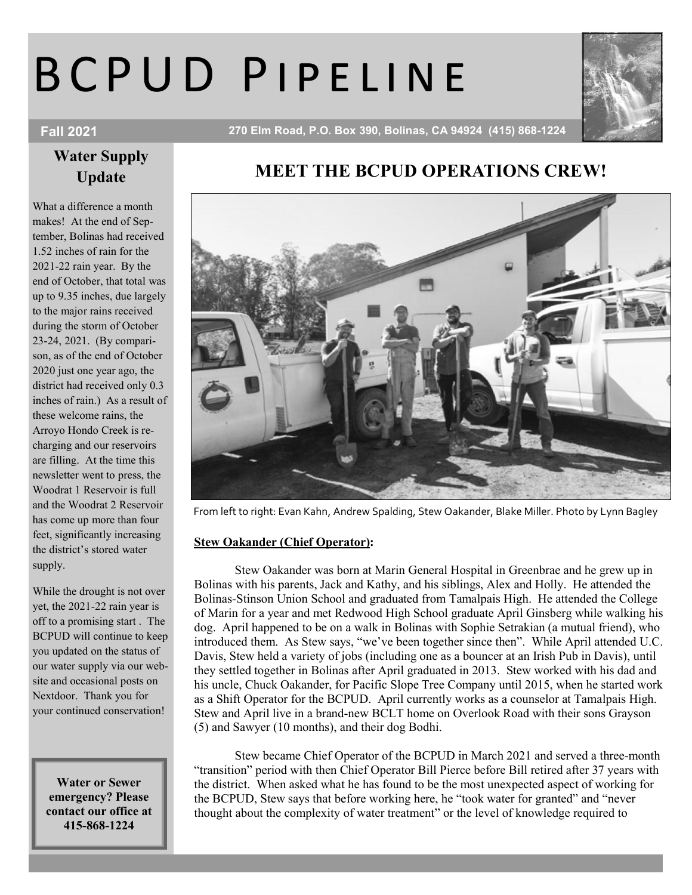# B C P U D P I P E L I N E



Fall 2021 270 Elm Road, P.O. Box 390, Bolinas, CA 94924 (415) 868-1224

## Water Supply Update

What a difference a month makes! At the end of September, Bolinas had received 1.52 inches of rain for the 2021-22 rain year. By the end of October, that total was up to 9.35 inches, due largely to the major rains received during the storm of October 23-24, 2021. (By comparison, as of the end of October 2020 just one year ago, the district had received only 0.3 inches of rain.) As a result of these welcome rains, the Arroyo Hondo Creek is recharging and our reservoirs are filling. At the time this newsletter went to press, the Woodrat 1 Reservoir is full and the Woodrat 2 Reservoir has come up more than four feet, significantly increasing the district's stored water supply.

While the drought is not over yet, the 2021-22 rain year is off to a promising start . The BCPUD will continue to keep you updated on the status of our water supply via our website and occasional posts on Nextdoor. Thank you for your continued conservation!

Water or Sewer emergency? Please contact our office at 415-868-1224

# MEET THE BCPUD OPERATIONS CREW!



From left to right: Evan Kahn, Andrew Spalding, Stew Oakander, Blake Miller. Photo by Lynn Bagley

#### Stew Oakander (Chief Operator):

Stew Oakander was born at Marin General Hospital in Greenbrae and he grew up in Bolinas with his parents, Jack and Kathy, and his siblings, Alex and Holly. He attended the Bolinas-Stinson Union School and graduated from Tamalpais High. He attended the College of Marin for a year and met Redwood High School graduate April Ginsberg while walking his dog. April happened to be on a walk in Bolinas with Sophie Setrakian (a mutual friend), who introduced them. As Stew says, "we've been together since then". While April attended U.C. Davis, Stew held a variety of jobs (including one as a bouncer at an Irish Pub in Davis), until they settled together in Bolinas after April graduated in 2013. Stew worked with his dad and his uncle, Chuck Oakander, for Pacific Slope Tree Company until 2015, when he started work as a Shift Operator for the BCPUD. April currently works as a counselor at Tamalpais High. Stew and April live in a brand-new BCLT home on Overlook Road with their sons Grayson (5) and Sawyer (10 months), and their dog Bodhi.

Stew became Chief Operator of the BCPUD in March 2021 and served a three-month "transition" period with then Chief Operator Bill Pierce before Bill retired after 37 years with the district. When asked what he has found to be the most unexpected aspect of working for the BCPUD, Stew says that before working here, he "took water for granted" and "never thought about the complexity of water treatment" or the level of knowledge required to